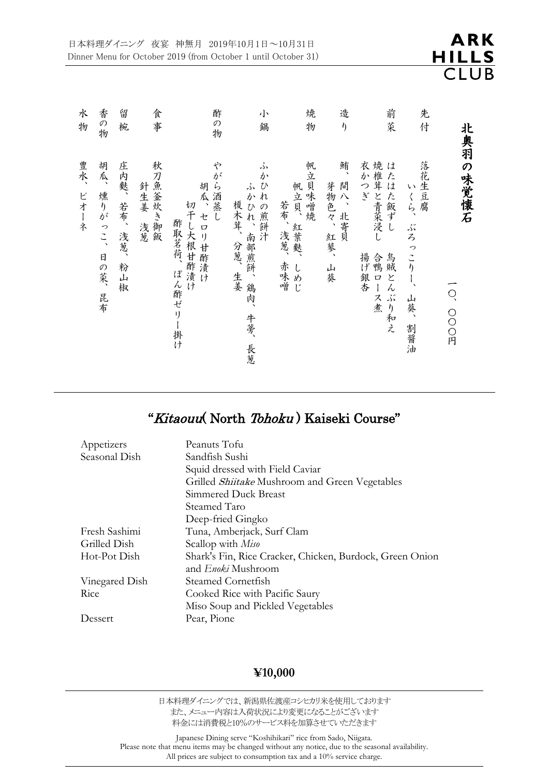| 水<br>物      | 香の物                     | 留<br>椀                            | 食<br>事                | 酢<br>の物                                                        | 小<br>鍋                                                                  | 焼<br>物                                         | 造<br>$\eta$                        | 前<br>茱                                                                                         | 先<br>付                                         |                    |
|-------------|-------------------------|-----------------------------------|-----------------------|----------------------------------------------------------------|-------------------------------------------------------------------------|------------------------------------------------|------------------------------------|------------------------------------------------------------------------------------------------|------------------------------------------------|--------------------|
| 豊水、<br>ピオーネ | 胡瓜、<br>燻りがっこ、<br>日の菜、昆布 | 庄内麩、<br>若布、<br>浅葱、<br>粉<br>山<br>椒 | 秋刀魚釜炊き御飯<br>針生姜<br>浅葱 | や<br>がら酒蒸し<br>胡瓜、セロリ甘酢漬け<br>切干し大根甘酢漬け<br>酢取茗荷、<br>ぽん酢ゼリー<br>掛け | دڈر<br>か<br>ひれの煎餅汁<br>دكر<br>かひれ、南部煎餅、<br>榎木茸、分葱、生姜<br>鶏肉、<br>牛蒡、<br>長葱 | 帆立貝味噌焼<br>帆立貝、紅葉麩、<br>若布、浅葱、<br>赤味噌<br>しめ<br>Ľ | 鮪、<br>間八、北寄貝<br>芽物色々、<br>紅蓼、<br>山葵 | 焼椎茸と青菜浸し<br>衣<br>は<br>た<br>か<br>l<br>つぎ<br>た飯ずし<br>揚げ銀杏<br>合鴨口<br>鳥賊<br>どん<br>ース煮<br>š.<br>り和え | 落花生豆腐<br>いくら、<br>ぶろ<br>っ<br>こりし、<br>山葵、<br>割醤油 | 北奥羽の味覚懐石<br>O、OOO円 |

# "Kitaouu( North Tohoku ) Kaiseki Course"

| Appetizers     | Peanuts Tofu                                             |
|----------------|----------------------------------------------------------|
| Seasonal Dish  | Sandfish Sushi                                           |
|                | Squid dressed with Field Caviar                          |
|                | Grilled <i>Shiitake</i> Mushroom and Green Vegetables    |
|                | Simmered Duck Breast                                     |
|                | Steamed Taro                                             |
|                | Deep-fried Gingko                                        |
| Fresh Sashimi  | Tuna, Amberjack, Surf Clam                               |
| Grilled Dish   | Scallop with Miso                                        |
| Hot-Pot Dish   | Shark's Fin, Rice Cracker, Chicken, Burdock, Green Onion |
|                | and <i>Enoki</i> Mushroom                                |
| Vinegared Dish | Steamed Cornetfish                                       |
| Rice           | Cooked Rice with Pacific Saury                           |
|                | Miso Soup and Pickled Vegetables                         |
| Dessert        | Pear, Pione                                              |

#### **¥10,000**

日本料理ダイニングでは、新潟県佐渡産コシヒカリ米を使用しております また、メニュー内容は入荷状況により変更になることがございます 料金には消費税と10%のサービス料を加算させていただきます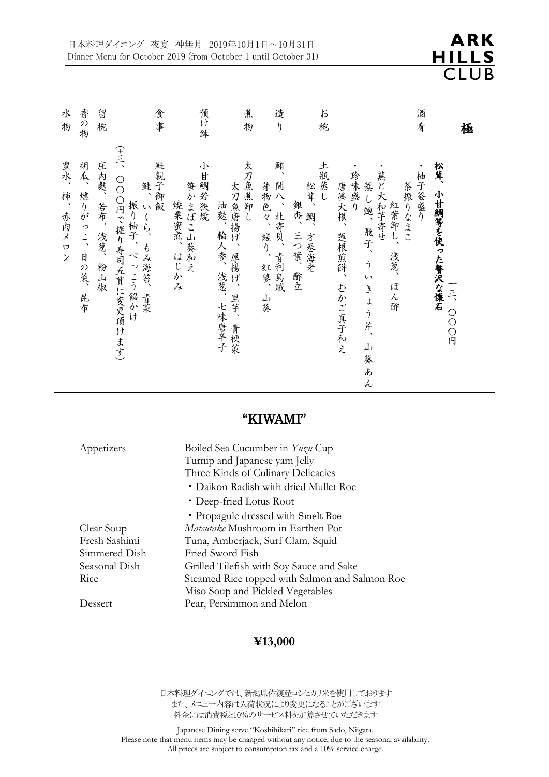

| 水<br>物             | 香の物             | 留<br>椀        | 食事                                                                    | 預け鉢                              | 煮<br>物                                         | 造<br>$\eta$                        | お<br>椀                         |                                                                                                     | 酒<br>肴                        | 極       |
|--------------------|-----------------|---------------|-----------------------------------------------------------------------|----------------------------------|------------------------------------------------|------------------------------------|--------------------------------|-----------------------------------------------------------------------------------------------------|-------------------------------|---------|
| 豊水、<br>柿、<br>赤肉メロン | 胡瓜、燻りがっこ、日の菜、昆布 | 庄内麩、若布、浅葱、粉山椒 | (←三、○○○円で握り寿司五貫に変更頂けます)<br>鮭親子御飯<br>鮭、<br>振り柚子、べっこう餡かけ<br>いくら、もみ海苔、青菜 | 小甘鯛若狭燒<br>笹かまぼこ山葵和え<br>焼栗蜜煮、はじかみ | 太刀魚煮卸し<br>太刀魚唐揚げ、厚揚げ、里芋、青梗菜<br>油麩、輪人参、浅葱、七味唐辛子 | 鮪、<br>間八、北寄貝、青利烏賊<br>芽物色々、縒り、紅蓼、山葵 | 土瓶蒸し<br>松茸、鯛、才卷海老<br>銀杏、三つ葉、酢立 | 蕪と大和芋寄せ<br>珍味盛り<br>蒸し鮑、飛子、ういきょう芹、<br>茶振りなまこ<br>唐墨大根、蓮根煎餅、<br>紅葉卸し、<br>浅葱、<br>ぽん酢<br>むかご真子和え<br>山葵あん | 松茸、<br>柚子釜盛り<br>小甘鯛等を使った贅沢な懐石 | 一三、000円 |

### "KIWAMI"

| Appetizers    | Boiled Sea Cucumber in Yuzu Cup<br>Turnip and Japanese yam Jelly |
|---------------|------------------------------------------------------------------|
|               | Three Kinds of Culinary Delicacies                               |
|               | • Daikon Radish with dried Mullet Roe                            |
|               | • Deep-fried Lotus Root                                          |
|               | • Propagule dressed with Smelt Roe                               |
| Clear Soup    | <i>Matsutake</i> Mushroom in Earthen Pot                         |
| Fresh Sashimi | Tuna, Amberjack, Surf Clam, Squid                                |
| Simmered Dish | Fried Sword Fish                                                 |
| Seasonal Dish | Grilled Tilefish with Soy Sauce and Sake                         |
| Rice          | Steamed Rice topped with Salmon and Salmon Roe                   |
|               | Miso Soup and Pickled Vegetables                                 |
| Dessert       | Pear, Persimmon and Melon                                        |

#### **¥13,000**

日本料理ダイニングでは、新潟県佐渡産コシヒカリ米を使用しております また、メニュー内容は入荷状況により変更になることがございます 料金には消費税と10%のサービス料を加算させていただきます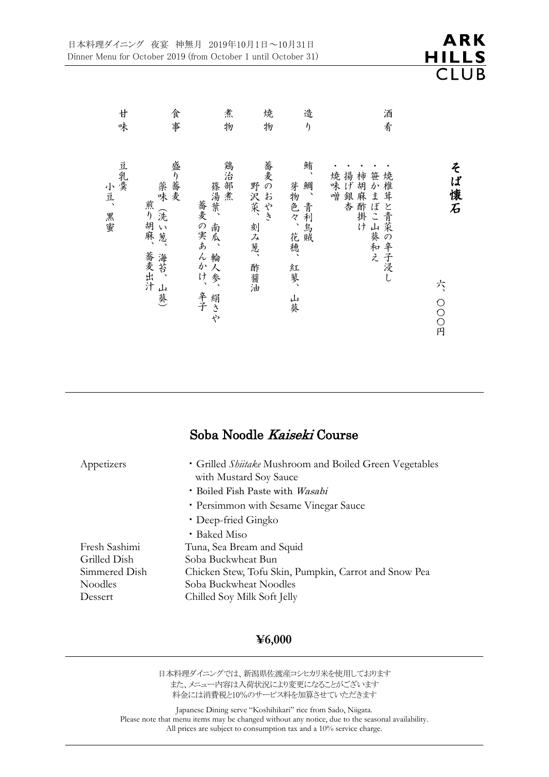| 廿                | 食                                             | 煮                                             | 焼                             | 造                                     | 酒                                                                                              |                           |
|------------------|-----------------------------------------------|-----------------------------------------------|-------------------------------|---------------------------------------|------------------------------------------------------------------------------------------------|---------------------------|
| 味                | 事                                             | 物                                             | 物                             | $\eta$                                | 肴                                                                                              |                           |
| 豆乳羹<br>小豆、<br>黑蜜 | 盛り蕎麦<br>薬味(洗い葱、<br>煎り胡麻、<br>蕎麦出汁<br>海苔、<br>山葵 | 鶏治部煮<br>篠湯葉、<br>蕎麦の実あんかけ、<br>人参、<br>辛子<br>絹さや | 蕎麦のおやき<br>野沢菜、<br>刻み葱、<br>酢醤油 | 鮪、<br>芽物色々、花穂、<br>鯛、青利烏賊<br>紅蓼、<br>山葵 | 焼<br>揚<br>柿<br>笹<br>焼<br>~味噌<br>維<br>3げ銀杏<br>胡麻酢掛け<br>か<br>茸<br><b>j</b><br>ぼこ山葵和え<br>と青菜の辛子浸し | そ<br>ば<br>懐石<br>た<br>○○○円 |

### Soba Noodle Kaiseki Course

| Appetizers    | • Grilled <i>Shiitake</i> Mushroom and Boiled Green Vegetables<br>with Mustard Soy Sauce |
|---------------|------------------------------------------------------------------------------------------|
|               | · Boiled Fish Paste with Wasabi                                                          |
|               | • Persimmon with Sesame Vinegar Sauce                                                    |
|               | • Deep-fried Gingko                                                                      |
|               | • Baked Miso                                                                             |
| Fresh Sashimi | Tuna, Sea Bream and Squid                                                                |
| Grilled Dish  | Soba Buckwheat Bun                                                                       |
| Simmered Dish | Chicken Stew, Tofu Skin, Pumpkin, Carrot and Snow Pea                                    |
| Noodles       | Soba Buckwheat Noodles                                                                   |
| Dessert       | Chilled Soy Milk Soft Jelly                                                              |

#### **¥6,000**

日本料理ダイニングでは、新潟県佐渡産コシヒカリ米を使用しております また、メニュー内容は入荷状況により変更になることがございます 料金には消費税と10%のサービス料を加算させていただきます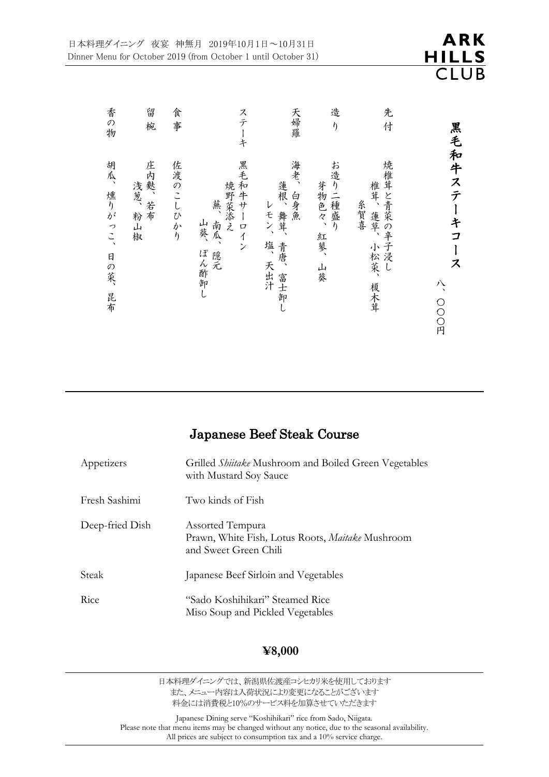| 香の物                     | 留<br>椀                   | 食事       | ステーキ                                                 | 天婦羅                                              | 造<br>$\eta$                   | 先<br>付                                      |                                                           |
|-------------------------|--------------------------|----------|------------------------------------------------------|--------------------------------------------------|-------------------------------|---------------------------------------------|-----------------------------------------------------------|
| 胡瓜、燻りがっこ、<br>日の菜、<br>昆布 | 庄内麩、若布<br>浅葱、粉<br>山<br>椒 | 佐渡のこしひかり | 黒毛和牛サーロイン<br>焼野菜添え<br>蕪<br>南瓜、<br>山葵、<br>ぽん酢卸し<br>隠元 | 海老、<br>蓮根、舞茸、<br>白身魚<br>レモン、<br>塩、天出汁<br>青唐、富士卸し | お造り二種盛り<br>芽物色々、<br>紅蓼、<br>山葵 | 焼椎茸と青菜の辛子浸し<br>椎茸、蓮草、<br>糸賀喜<br>小松菜、<br>榎木茸 | 黒毛和牛ステ<br>ーキ<br>$\overline{\mathbf{I}}$<br>ス<br>八<br>○○○円 |

### Japanese Beef Steak Course

| Appetizers      | Grilled <i>Shiitake</i> Mushroom and Boiled Green Vegetables<br>with Mustard Soy Sauce        |
|-----------------|-----------------------------------------------------------------------------------------------|
| Fresh Sashimi   | Two kinds of Fish                                                                             |
| Deep-fried Dish | Assorted Tempura<br>Prawn, White Fish, Lotus Roots, Maitake Mushroom<br>and Sweet Green Chili |
| Steak           | Japanese Beef Sirloin and Vegetables                                                          |
| Rice            | "Sado Koshihikari" Steamed Rice<br>Miso Soup and Pickled Vegetables                           |

#### **¥8,000**

日本料理ダイニングでは、新潟県佐渡産コシヒカリ米を使用しております また、メニュー内容は入荷状況により変更になることがございます 料金には消費税と10%のサービス料を加算させていただきます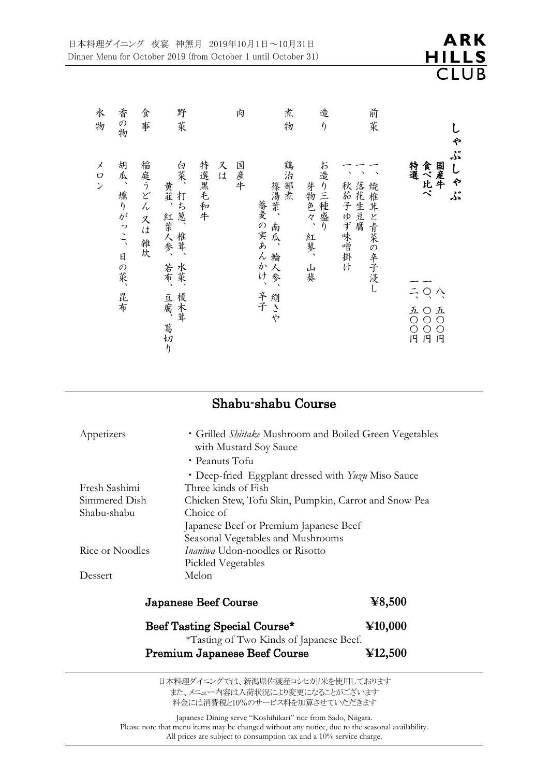| 水<br>物                                           | 香の物                 | 食<br>事         | 野<br>菜                                                                |              | 肉   | 煮<br>物                                                | 造<br>$\eta$                   | 前<br>萊                        | ゃ                                                                                               |
|--------------------------------------------------|---------------------|----------------|-----------------------------------------------------------------------|--------------|-----|-------------------------------------------------------|-------------------------------|-------------------------------|-------------------------------------------------------------------------------------------------|
| メ<br>$\boldsymbol{\mathcal{Q}}$<br>$\mathcal{V}$ | 胡瓜、燻りがっこ、日の菜、<br>昆布 | 稲庭うどん 又は<br>雑炊 | 白菜、<br>黄韮、<br>打ち葱、<br>紅葉人参、<br>椎茸、<br>水菜、<br>若布、<br>榎木茸<br>豆腐、<br>葛切り | 特選黑毛和牛<br>スは | 国産牛 | 鶏治部煮<br>篠湯葉、<br>蕎麦の実あんかけ、<br>南瓜、<br>輪人参、<br>辛子<br>絹さや | お造り三種盛り<br>芽物色々、<br>紅蓼、<br>山葵 | 秋茄子ゆず味噌掛け落花生豆腐<br>焼椎茸と青菜の辛子浸し | ڏنر<br>食べ比べ<br>特選<br>しゃぶ<br>国産牛<br>$\frac{1}{2}$ O<br>八<br>五〇〇円<br>五〇<br>OOO円<br>$\overline{P}$ |

# Shabu-shabu Course

| Appetizers      | • Grilled <i>Shiitake</i> Mushroom and Boiled Green Vegetables<br>with Mustard Soy Sauce<br>• Peanuts Tofu |                                                                     |  |  |  |  |
|-----------------|------------------------------------------------------------------------------------------------------------|---------------------------------------------------------------------|--|--|--|--|
|                 | • Deep-fried Eggplant dressed with Yuzu Miso Sauce<br>Three kinds of Fish                                  |                                                                     |  |  |  |  |
| Fresh Sashimi   |                                                                                                            |                                                                     |  |  |  |  |
| Simmered Dish   | Chicken Stew, Tofu Skin, Pumpkin, Carrot and Snow Pea                                                      |                                                                     |  |  |  |  |
| Shabu-shabu     | Choice of                                                                                                  |                                                                     |  |  |  |  |
|                 | Japanese Beef or Premium Japanese Beef                                                                     |                                                                     |  |  |  |  |
|                 | Seasonal Vegetables and Mushrooms                                                                          |                                                                     |  |  |  |  |
| Rice or Noodles | <i>Inaniwa</i> Udon-noodles or Risotto                                                                     |                                                                     |  |  |  |  |
|                 | Pickled Vegetables                                                                                         |                                                                     |  |  |  |  |
| Dessert         | Melon                                                                                                      |                                                                     |  |  |  |  |
|                 | <b>Japanese Beef Course</b>                                                                                | $\textcolor{blue}{\boldsymbol{\mathbf{\mathbf{\mathbf{Y}}}}}$ 8,500 |  |  |  |  |
|                 | Beef Tasting Special Course*<br>*Tasting of Two Kinds of Japanese Beef.                                    | $\Psi$ 10,000                                                       |  |  |  |  |
|                 | Premium Japanese Beef Course                                                                               | $\textcolor{blue}{\bf \mathbf{\mathbf{\mathbf{Y}12,500}}}$          |  |  |  |  |
|                 | 日本料理ダイニングでは、新潟県佐渡産コシヒカリ米を使用しております                                                                          |                                                                     |  |  |  |  |

また、メニュー内容は入荷状況により変更になることがございます 料金には消費税と10%のサービス料を加算させていただきます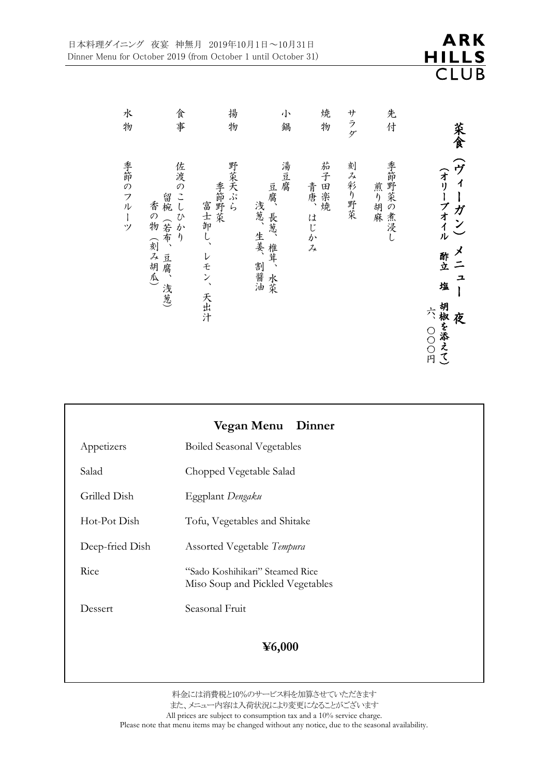| 水<br>物  | 食事                                        | 揚<br>物                            | 小<br>鍋                          | 焼<br>物           | サラダ    | 先<br>付           | 菜食                                                        |
|---------|-------------------------------------------|-----------------------------------|---------------------------------|------------------|--------|------------------|-----------------------------------------------------------|
| 季節のフルーツ | 佐渡のこしひかり<br>留椀(若布、<br>香の物(刻み胡瓜)<br>豆腐、浅葱) | 野菜天ぷら<br>季節野菜<br>富士卸し、<br>レモン、天出汁 | 湯豆腐<br>豆腐、長葱、椎茸、水菜<br>浅葱、生姜、割醤油 | 茄子田楽焼<br>青唐、はじかみ | 刻み彩り野菜 | 季節野菜の煮浸し<br>煎り胡麻 | (ヴィーガン)<br>(オリーブオイル<br>メニュ<br>酢立 塩<br>胡椒を添え<br>六 000<br>夜 |

|                 | Vegan Menu Dinner                                                   |  |  |  |  |
|-----------------|---------------------------------------------------------------------|--|--|--|--|
| Appetizers      | <b>Boiled Seasonal Vegetables</b>                                   |  |  |  |  |
| Salad           | Chopped Vegetable Salad                                             |  |  |  |  |
| Grilled Dish    | Eggplant Dengaku                                                    |  |  |  |  |
| Hot-Pot Dish    | Tofu, Vegetables and Shitake                                        |  |  |  |  |
| Deep-fried Dish | <b>Assorted Vegetable Tempura</b>                                   |  |  |  |  |
| Rice            | "Sado Koshihikari" Steamed Rice<br>Miso Soup and Pickled Vegetables |  |  |  |  |
| Dessert         | Seasonal Fruit                                                      |  |  |  |  |
|                 | $\textcolor{blue}{\boldsymbol{\mathfrak{Y}}\mathbf{6,000}}$         |  |  |  |  |

料金には消費税と10%のサービス料を加算させていただきます また、メニュー内容は入荷状況により変更になることがございます All prices are subject to consumption tax and a 10% service charge. Please note that menu items may be changed without any notice, due to the seasonal availability. て )

円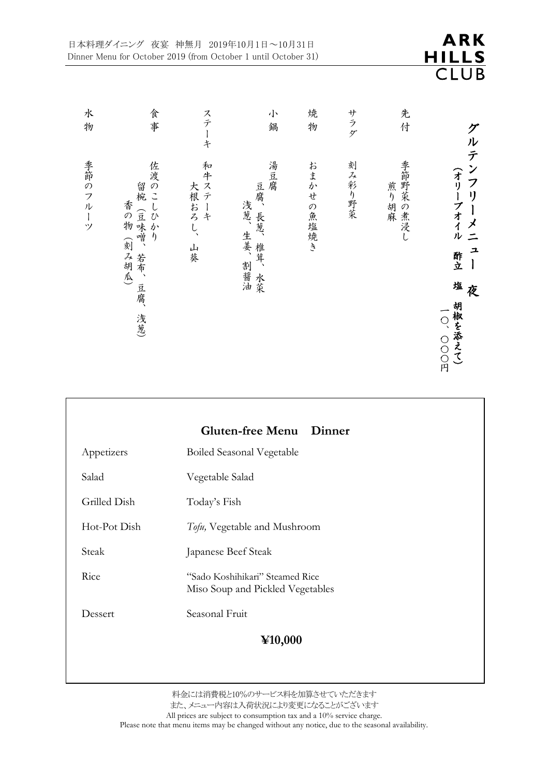|                                                     |                                                                           |                                   | 日本料理ダイニング 夜宴 神無月 2019年10月1日~10月31日<br>Dinner Menu for October 2019 (from October 1 until October 31) |           |        |                 | ARK<br>ILLS<br>B<br>C                                                                            |
|-----------------------------------------------------|---------------------------------------------------------------------------|-----------------------------------|------------------------------------------------------------------------------------------------------|-----------|--------|-----------------|--------------------------------------------------------------------------------------------------|
| 水<br>物                                              | 食<br>事                                                                    | ステー<br>$\ddot{x}$                 | 小<br>鍋                                                                                               | 焼<br>物    | サラダ    | 先<br>付          |                                                                                                  |
| 季節のフル<br>$\begin{array}{c} \hline \end{array}$<br>ッ | 佐渡<br>のこしひか<br>留椀<br>香の物<br>(豆味噌、<br>$\eta$<br>(刻み胡瓜)<br>若布、<br>豆腐、<br>浅葱 | 和<br>大根おろ<br>$\overline{C}$<br>山葵 | 湯豆腐<br>豆腐、<br>浅葱、<br>長葱、<br>生姜、<br>椎茸、<br>割醤油<br>水菜                                                  | おまかせの魚塩焼き | 刻み彩り野菜 | 季節野菜の煮浸<br>煎り胡麻 | ルテンフ<br>(オリーブオイル<br>$\mathbf{U}$<br>メニ<br>그<br>酢立<br>塩<br>夜<br>胡椒を添えて)<br>$\overline{O}$<br>OOO円 |

|              | <b>Gluten-free Menu</b><br>Dinner                                   |  |  |  |  |
|--------------|---------------------------------------------------------------------|--|--|--|--|
| Appetizers   | <b>Boiled Seasonal Vegetable</b>                                    |  |  |  |  |
| Salad        | Vegetable Salad                                                     |  |  |  |  |
| Grilled Dish | Today's Fish                                                        |  |  |  |  |
| Hot-Pot Dish | Tofu, Vegetable and Mushroom                                        |  |  |  |  |
| Steak        | Japanese Beef Steak                                                 |  |  |  |  |
| Rice         | "Sado Koshihikari" Steamed Rice<br>Miso Soup and Pickled Vegetables |  |  |  |  |
| Dessert      | Seasonal Fruit                                                      |  |  |  |  |
| ¥10,000      |                                                                     |  |  |  |  |

料金には消費税と10%のサービス料を加算させていただきます また、メニュー内容は入荷状況により変更になることがございます All prices are subject to consumption tax and a 10% service charge.

Please note that menu items may be changed without any notice, due to the seasonal availability.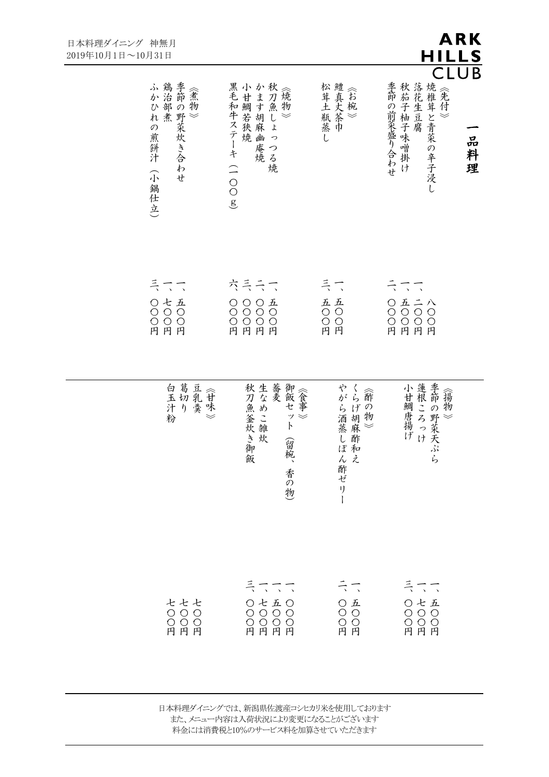| 理ダイニング 神無月<br>10月1日~10月31日 |                                            |                                                     |                                                                           | ARK<br>HILLS                                                       |
|----------------------------|--------------------------------------------|-----------------------------------------------------|---------------------------------------------------------------------------|--------------------------------------------------------------------|
|                            | ふかひれの煎餅汁(小智鶏治部煮<br>季節の野菜炊き合わせ<br>小<br>潮仕立) | 黒毛和牛ステーキ(一〇〇o小甘鯛若狭焼かます胡麻幽庵焼かます胡麻幽庵焼<br>$\mathbf{g}$ | 松茸土瓶蒸し鱧真大茶巾                                                               | CLU<br>B<br>秋茄子柚子味噌掛け、落花生豆腐(焼椎茸と青菜の辛子浸し)《先付》)<br>季節の前菜盛り合わせ<br>品料理 |
|                            | ミニコ<br>0と五<br>0000<br>円円円                  | 六ミミニ<br>000五<br>00000<br>000円円                      | ミニ<br>五〇〇円                                                                | ミニコ<br>0五二八<br>0000円<br>円円円                                        |
|                            |                                            | 秋刀魚釜炊き* <br>生なめこ雑炊<br>御飯セット<br>(留椀、<br>御飯<br>香の物)   | やがら酒蒸し。<br>くらげ胡麻酢~<br>ぽ和                                                  | 小甘鯛唐揚げ<br>季節の野菜天<br>《揚物》<br>ぷら                                     |
|                            | セセセ<br>- 0 0 0<br>0 0 0<br>円 円 円           | ミコココ<br>0と五0<br>0000円<br>円円円                        | ミニ<br>$\begin{array}{c}\n0 & \text{A} \\ 0 & 0\n\end{array}$<br>O O<br>円円 | ミニコ<br>0と五<br>0000<br>円円円                                          |

日本料理ダイニングでは、新潟県佐渡産コシヒカリ米を使用しております また、メニュー内容は入荷状況により変更になることがございます 料金には消費税と10%のサービス料を加算させていただきます